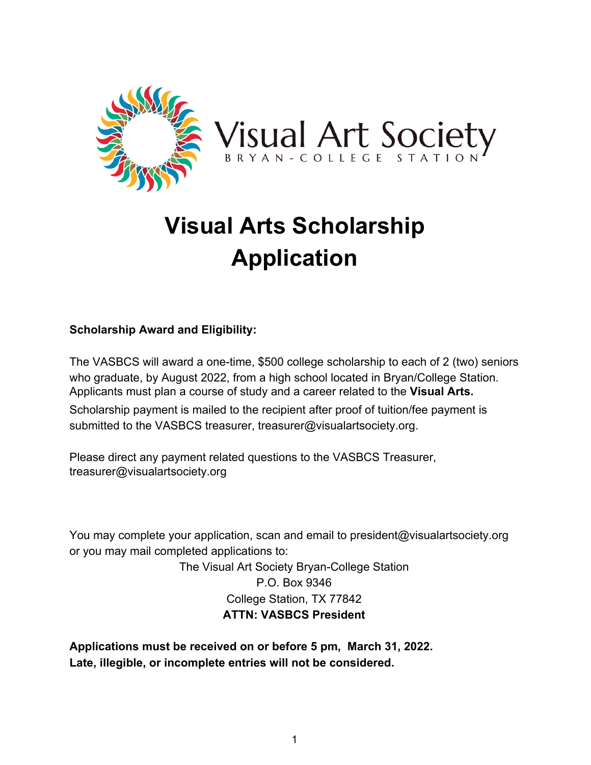

## **Visual Arts Scholarship Application**

## **Scholarship Award and Eligibility:**

The VASBCS will award a one-time, \$500 college scholarship to each of 2 (two) seniors who graduate, by August 2022, from a high school located in Bryan/College Station. Applicants must plan a course of study and a career related to the **Visual Arts.**

Scholarship payment is mailed to the recipient after proof of tuition/fee payment is submitted to the VASBCS treasurer, treasurer@visualartsociety.org.

Please direct any payment related questions to the VASBCS Treasurer, treasurer@visualartsociety.org

You may complete your application, scan and email to president@visualartsociety.org or you may mail completed applications to:

> The Visual Art Society Bryan-College Station P.O. Box 9346 College Station, TX 77842 **ATTN: VASBCS President**

**Applications must be received on or before 5 pm, March 31, 2022. Late, illegible, or incomplete entries will not be considered.**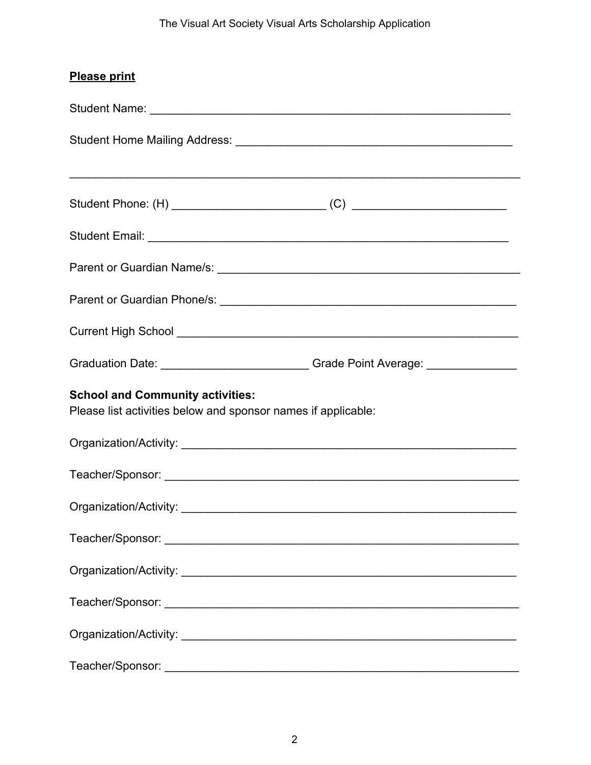## The Visual Art Society Visual Arts Scholarship Application

| <b>Please print</b>                                                                                      |  |  |
|----------------------------------------------------------------------------------------------------------|--|--|
|                                                                                                          |  |  |
|                                                                                                          |  |  |
|                                                                                                          |  |  |
|                                                                                                          |  |  |
|                                                                                                          |  |  |
|                                                                                                          |  |  |
|                                                                                                          |  |  |
| Graduation Date: __________________________Grade Point Average: ________________                         |  |  |
| <b>School and Community activities:</b><br>Please list activities below and sponsor names if applicable: |  |  |
|                                                                                                          |  |  |
|                                                                                                          |  |  |
|                                                                                                          |  |  |
|                                                                                                          |  |  |
|                                                                                                          |  |  |
|                                                                                                          |  |  |
|                                                                                                          |  |  |
|                                                                                                          |  |  |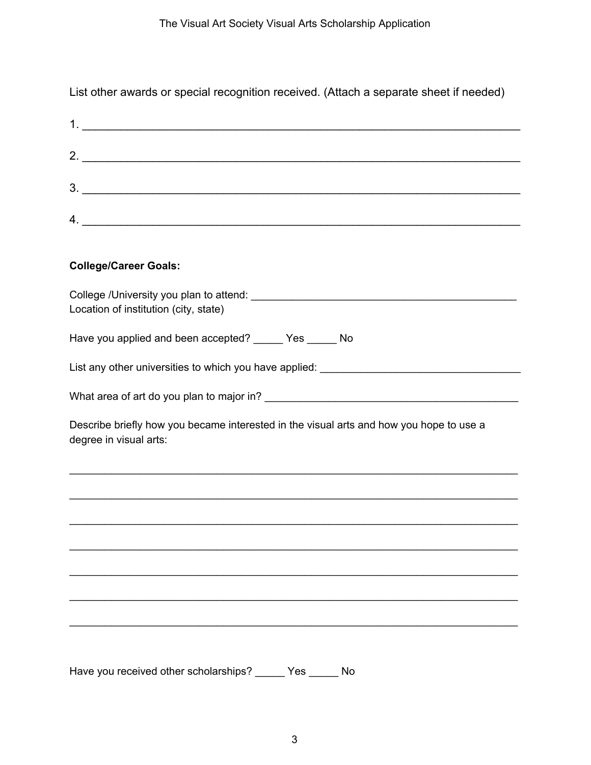List other awards or special recognition received. (Attach a separate sheet if needed)

| $3.$ $\overline{\phantom{a}}$                                                                                     |
|-------------------------------------------------------------------------------------------------------------------|
| $\mathcal{A}$ .                                                                                                   |
|                                                                                                                   |
| <b>College/Career Goals:</b>                                                                                      |
| Location of institution (city, state)                                                                             |
| Have you applied and been accepted? _____ Yes _____ No                                                            |
| List any other universities to which you have applied: __________________________                                 |
|                                                                                                                   |
| Describe briefly how you became interested in the visual arts and how you hope to use a<br>degree in visual arts: |
|                                                                                                                   |
|                                                                                                                   |
|                                                                                                                   |
|                                                                                                                   |
|                                                                                                                   |
|                                                                                                                   |
|                                                                                                                   |

Have you received other scholarships? \_\_\_\_\_ Yes \_\_\_\_\_ No